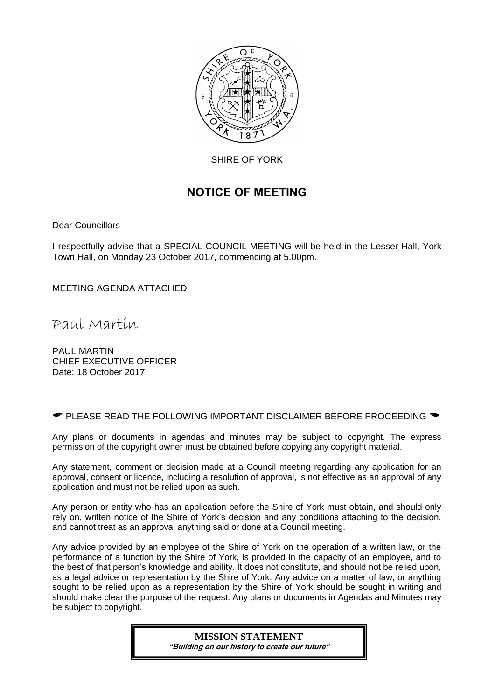

SHIRE OF YORK

# NOTICE OF MEETING

Dear Councillors

I respectfully advise that a SPECIAL COUNCIL MEETING will be held in the Lesser Hall, York Town Hall, on Monday 23 October 2017, commencing at 5.00pm.

MEETING AGENDA ATTACHED

Paul Martin

PAUL MARTIN CHIEF EXECUTIVE OFFICER Date: 18 October 2017

 $\bullet$  PLEASE READ THE FOLLOWING IMPORTANT DISCLAIMER BEFORE PROCEEDING  $\bullet$ 

Any plans or documents in agendas and minutes may be subject to copyright. The express permission of the copyright owner must be obtained before copying any copyright material.

Any statement, comment or decision made at a Council meeting regarding any application for an approval, consent or licence, including a resolution of approval, is not effective as an approval of any application and must not be relied upon as such.

Any person or entity who has an application before the Shire of York must obtain, and should only rely on, written notice of the Shire of York's decision and any conditions attaching to the decision, and cannot treat as an approval anything said or done at a Council meeting.

Any advice provided by an employee of the Shire of York on the operation of a written law, or the performance of a function by the Shire of York, is provided in the capacity of an employee, and to the best of that person's knowledge and ability. It does not constitute, and should not be relied upon, as a legal advice or representation by the Shire of York. Any advice on a matter of law, or anything sought to be relied upon as a representation by the Shire of York should be sought in writing and should make clear the purpose of the request. Any plans or documents in Agendas and Minutes may be subject to copyright.

## **MISSION STATEMENT**

"Building on our history to create our future"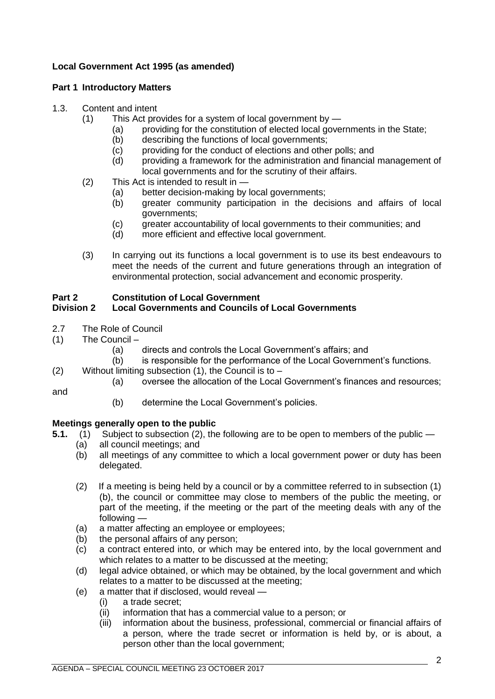## **Local Government Act 1995 (as amended)**

### **Part 1 Introductory Matters**

### 1.3. Content and intent

- (1) This Act provides for a system of local government by
	- (a) providing for the constitution of elected local governments in the State;
	- (b) describing the functions of local governments;
	- (c) providing for the conduct of elections and other polls; and
	- (d) providing a framework for the administration and financial management of local governments and for the scrutiny of their affairs.
- (2) This Act is intended to result in
	- (a) better decision-making by local governments;
	- (b) greater community participation in the decisions and affairs of local governments;
	- (c) greater accountability of local governments to their communities; and
	- (d) more efficient and effective local government.
- (3) In carrying out its functions a local government is to use its best endeavours to meet the needs of the current and future generations through an integration of environmental protection, social advancement and economic prosperity.

### **Part 2 Constitution of Local Government**

### **Division 2 Local Governments and Councils of Local Governments**

- 2.7 The Role of Council
- (1) The Council
	- (a) directs and controls the Local Government's affairs; and
	- (b) is responsible for the performance of the Local Government's functions.
- (2) Without limiting subsection  $(1)$ , the Council is to  $-$ 
	- (a) oversee the allocation of the Local Government's finances and resources;

and

(b) determine the Local Government's policies.

### **Meetings generally open to the public**

- **5.1.** (1) Subject to subsection (2), the following are to be open to members of the public
	- (a) all council meetings; and
		- (b) all meetings of any committee to which a local government power or duty has been delegated.
	- (2) If a meeting is being held by a council or by a committee referred to in subsection (1) (b), the council or committee may close to members of the public the meeting, or part of the meeting, if the meeting or the part of the meeting deals with any of the following —
	- (a) a matter affecting an employee or employees;
	- (b) the personal affairs of any person;
	- (c) a contract entered into, or which may be entered into, by the local government and which relates to a matter to be discussed at the meeting;
	- (d) legal advice obtained, or which may be obtained, by the local government and which relates to a matter to be discussed at the meeting;
	- (e) a matter that if disclosed, would reveal
		- (i) a trade secret;
		- (ii) information that has a commercial value to a person; or
		- (iii) information about the business, professional, commercial or financial affairs of a person, where the trade secret or information is held by, or is about, a person other than the local government;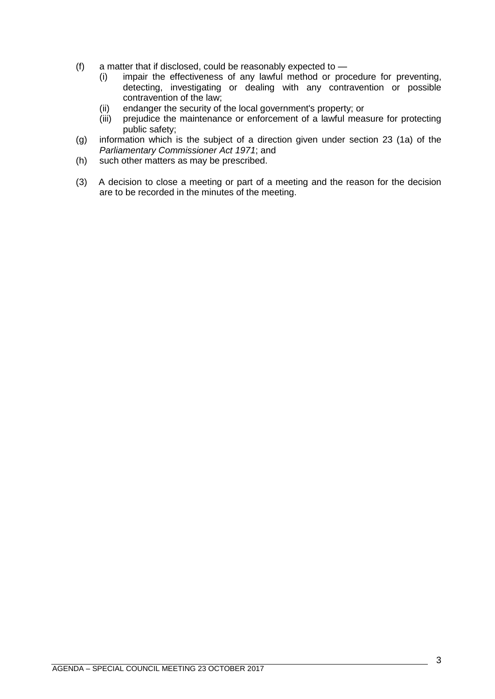- (f) a matter that if disclosed, could be reasonably expected to
	- (i) impair the effectiveness of any lawful method or procedure for preventing, detecting, investigating or dealing with any contravention or possible contravention of the law;
	- (ii) endanger the security of the local government's property; or
	- (iii) prejudice the maintenance or enforcement of a lawful measure for protecting public safety;
- (g) information which is the subject of a direction given under section 23 (1a) of the *Parliamentary Commissioner Act 1971*; and
- (h) such other matters as may be prescribed.
- (3) A decision to close a meeting or part of a meeting and the reason for the decision are to be recorded in the minutes of the meeting.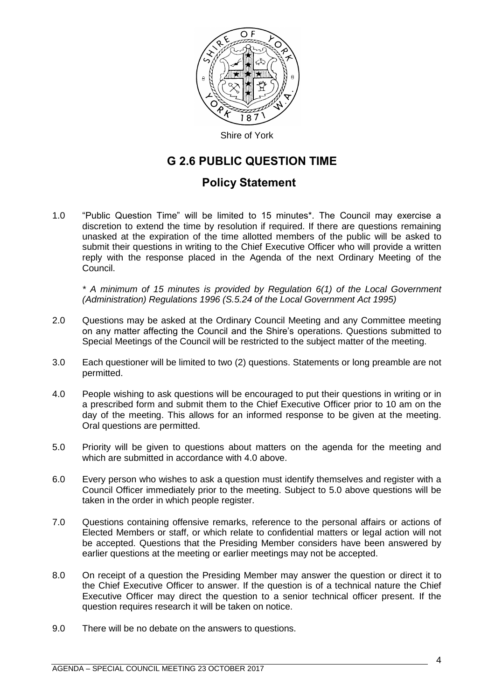

Shire of York

## G 2.6 PUBLIC QUESTION TIME

## Policy Statement

1.0 "Public Question Time" will be limited to 15 minutes\*. The Council may exercise a discretion to extend the time by resolution if required. If there are questions remaining unasked at the expiration of the time allotted members of the public will be asked to submit their questions in writing to the Chief Executive Officer who will provide a written reply with the response placed in the Agenda of the next Ordinary Meeting of the Council.

*\* A minimum of 15 minutes is provided by Regulation 6(1) of the Local Government (Administration) Regulations 1996 (S.5.24 of the Local Government Act 1995)*

- 2.0 Questions may be asked at the Ordinary Council Meeting and any Committee meeting on any matter affecting the Council and the Shire's operations. Questions submitted to Special Meetings of the Council will be restricted to the subject matter of the meeting.
- 3.0 Each questioner will be limited to two (2) questions. Statements or long preamble are not permitted.
- 4.0 People wishing to ask questions will be encouraged to put their questions in writing or in a prescribed form and submit them to the Chief Executive Officer prior to 10 am on the day of the meeting. This allows for an informed response to be given at the meeting. Oral questions are permitted.
- 5.0 Priority will be given to questions about matters on the agenda for the meeting and which are submitted in accordance with 4.0 above.
- 6.0 Every person who wishes to ask a question must identify themselves and register with a Council Officer immediately prior to the meeting. Subject to 5.0 above questions will be taken in the order in which people register.
- 7.0 Questions containing offensive remarks, reference to the personal affairs or actions of Elected Members or staff, or which relate to confidential matters or legal action will not be accepted. Questions that the Presiding Member considers have been answered by earlier questions at the meeting or earlier meetings may not be accepted.
- 8.0 On receipt of a question the Presiding Member may answer the question or direct it to the Chief Executive Officer to answer. If the question is of a technical nature the Chief Executive Officer may direct the question to a senior technical officer present. If the question requires research it will be taken on notice.
- 9.0 There will be no debate on the answers to questions.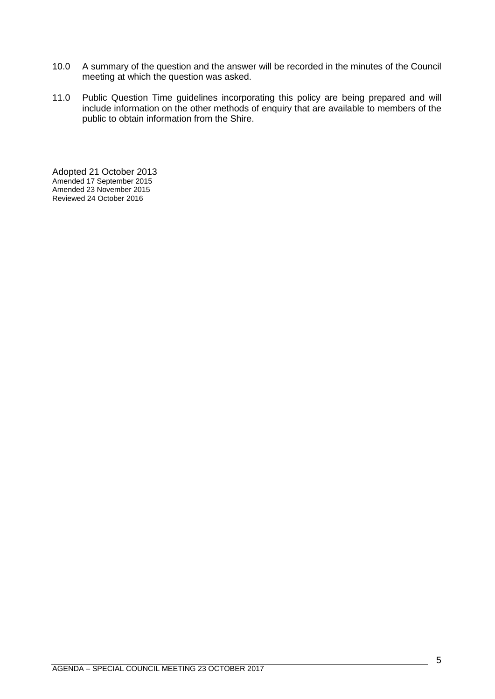- 10.0 A summary of the question and the answer will be recorded in the minutes of the Council meeting at which the question was asked.
- 11.0 Public Question Time guidelines incorporating this policy are being prepared and will include information on the other methods of enquiry that are available to members of the public to obtain information from the Shire.

Adopted 21 October 2013 Amended 17 September 2015 Amended 23 November 2015 Reviewed 24 October 2016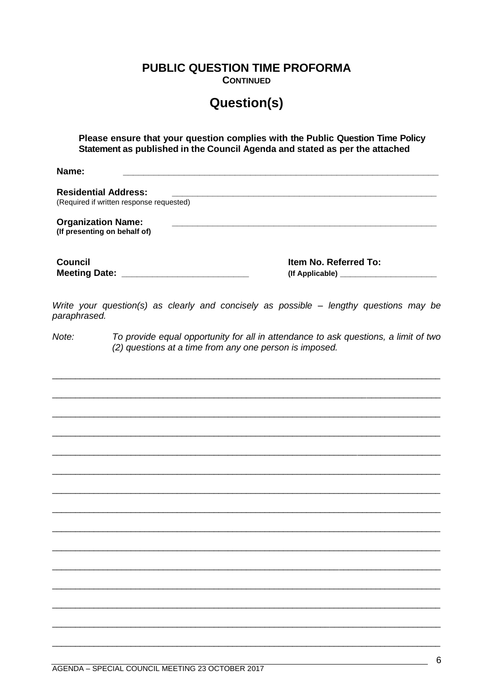**PUBLIC QUESTION TIME PROFORMA** 

**CONTINUED** 

# **Question(s)**

Please ensure that your question complies with the Public Question Time Policy Statement as published in the Council Agenda and stated as per the attached

Name<sup>.</sup>

**Residential Address:** (Required if written response requested) **Organization Name:** (If presenting on behalf of) **Council** Item No. Referred To: 

Write your question(s) as clearly and concisely as possible - lengthy questions may be paraphrased.

 $Note:$ To provide equal opportunity for all in attendance to ask questions, a limit of two (2) questions at a time from any one person is imposed.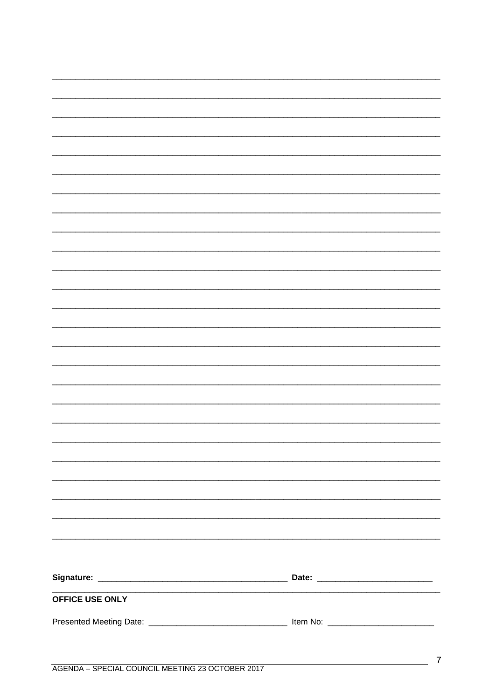| OFFICE USE ONLY |  |
|-----------------|--|
|                 |  |
|                 |  |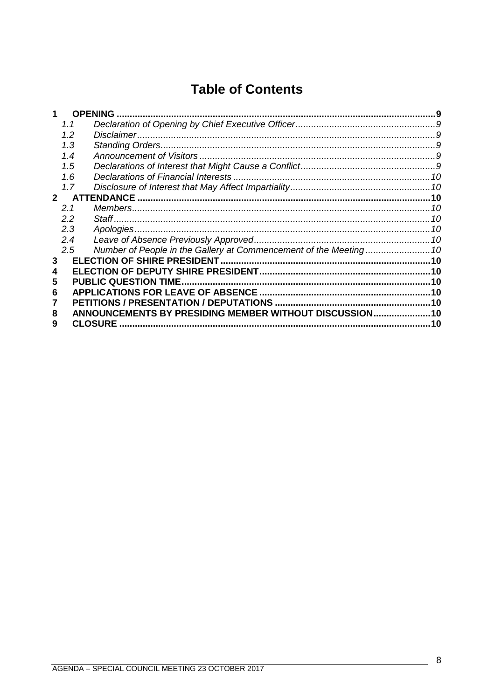# **Table of Contents**

|             |               | <b>OPENING</b>                                          |     |
|-------------|---------------|---------------------------------------------------------|-----|
|             | 1.1           |                                                         |     |
|             | 1.2           |                                                         |     |
|             | 1.3           |                                                         | 9   |
|             | 1.4           |                                                         |     |
|             | 1.5           |                                                         |     |
|             | 1.6           |                                                         |     |
|             | 1.7           |                                                         |     |
| $2^{\circ}$ |               | <b>ATTENDANCE</b>                                       |     |
|             | 2.1           |                                                         | 10  |
|             | $2.2\,$       |                                                         | 10  |
|             | 2.3           | Apologies.                                              | 10  |
|             | 2.4           |                                                         |     |
|             | $2.5^{\circ}$ |                                                         |     |
| 3           |               |                                                         |     |
|             |               |                                                         |     |
| 5           |               | <b>PUBLIC QUESTION TIME.</b>                            | .10 |
| 6           |               | <b>APPLICATIONS FOR LEAVE OF ABSENCE</b>                |     |
|             |               |                                                         |     |
| 8           |               | ANNOUNCEMENTS BY PRESIDING MEMBER WITHOUT DISCUSSION 10 |     |
| 9           |               | <b>CLOSURE</b>                                          | 10  |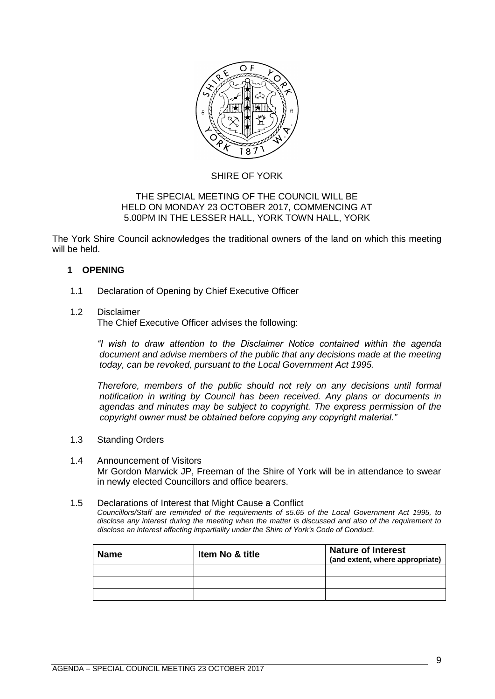

### SHIRE OF YORK

### THE SPECIAL MEETING OF THE COUNCIL WILL BE HELD ON MONDAY 23 OCTOBER 2017, COMMENCING AT 5.00PM IN THE LESSER HALL, YORK TOWN HALL, YORK

The York Shire Council acknowledges the traditional owners of the land on which this meeting will be held.

### <span id="page-8-0"></span>**1 OPENING**

<span id="page-8-1"></span>1.1 Declaration of Opening by Chief Executive Officer

### <span id="page-8-2"></span>1.2 Disclaimer

The Chief Executive Officer advises the following:

*"I wish to draw attention to the Disclaimer Notice contained within the agenda document and advise members of the public that any decisions made at the meeting today, can be revoked, pursuant to the Local Government Act 1995.* 

*Therefore, members of the public should not rely on any decisions until formal notification in writing by Council has been received. Any plans or documents in agendas and minutes may be subject to copyright. The express permission of the copyright owner must be obtained before copying any copyright material."*

- <span id="page-8-3"></span>1.3 Standing Orders
- <span id="page-8-4"></span>1.4 Announcement of Visitors Mr Gordon Marwick JP, Freeman of the Shire of York will be in attendance to swear in newly elected Councillors and office bearers.

### <span id="page-8-5"></span>1.5 Declarations of Interest that Might Cause a Conflict

*Councillors/Staff are reminded of the requirements of s5.65 of the Local Government Act 1995, to disclose any interest during the meeting when the matter is discussed and also of the requirement to disclose an interest affecting impartiality under the Shire of York's Code of Conduct.*

| <b>Name</b> | <b>Item No &amp; title</b> | <b>Nature of Interest</b><br>(and extent, where appropriate) |
|-------------|----------------------------|--------------------------------------------------------------|
|             |                            |                                                              |
|             |                            |                                                              |
|             |                            |                                                              |